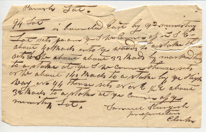Parish Jak. 94 Lui is humaled lune by as minastry Lat sets paan y I ha lannes of us & &about 40 thanks into y woods to a state the sets serthe about about 33 hads by marked the to a stake at you I we cannot theme sets or the about 140 Mach to a state by ye High Went eralt themse sets er er & the about 32 hours to a stakes at you cannon afge menuting Lot, Semmel Stargerh